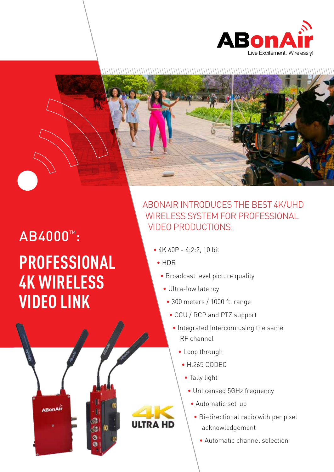



## **PROFESSIONAL 4K WIRELESS VIDEO LINK** AB4000™:

**ABonAir** 

ത

O

## ABONAIR INTRODUCES THE BEST 4K/UHD WIRELESS SYSTEM FOR PROFESSIONAL VIDEO PRODUCTIONS:

- $\bullet$  4K 60P 4:2:2, 10 bit
	- HDR

**ULTRA HD** 

- Broadcast level picture quality
- Ultra-low latency
- $\cdot$  300 meters / 1000 ft. range
- CCU / RCP and PTZ support
	- Integrated Intercom using the same RF channel
		- Loop through
			- $-$  H.265 CODEC
			- Tally light
				- Unlicensed 5GHz frequency
				- Automatic set-up
					- Bi-directional radio with per pixel acknowledgement
						- Automatic channel selection